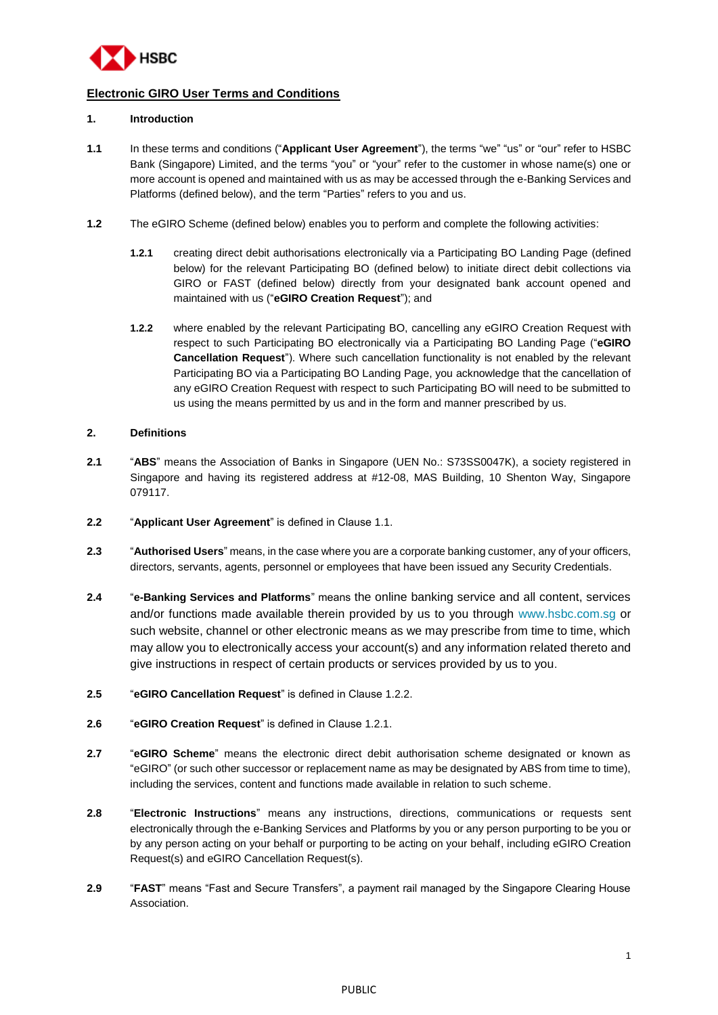

# **Electronic GIRO User Terms and Conditions**

# **1. Introduction**

- <span id="page-0-0"></span>**1.1** In these terms and conditions ("**Applicant User Agreement**"), the terms "we" "us" or "our" refer to HSBC Bank (Singapore) Limited, and the terms "you" or "your" refer to the customer in whose name(s) one or more account is opened and maintained with us as may be accessed through the e-Banking Services and Platforms (defined below), and the term "Parties" refers to you and us.
- <span id="page-0-2"></span><span id="page-0-1"></span>**1.2** The eGIRO Scheme (defined below) enables you to perform and complete the following activities:
	- **1.2.1** creating direct debit authorisations electronically via a Participating BO Landing Page (defined below) for the relevant Participating BO (defined below) to initiate direct debit collections via GIRO or FAST (defined below) directly from your designated bank account opened and maintained with us ("**eGIRO Creation Request**"); and
	- **1.2.2** where enabled by the relevant Participating BO, cancelling any eGIRO Creation Request with respect to such Participating BO electronically via a Participating BO Landing Page ("**eGIRO Cancellation Request**"). Where such cancellation functionality is not enabled by the relevant Participating BO via a Participating BO Landing Page, you acknowledge that the cancellation of any eGIRO Creation Request with respect to such Participating BO will need to be submitted to us using the means permitted by us and in the form and manner prescribed by us.

#### **2. Definitions**

- **2.1** "**ABS**" means the Association of Banks in Singapore (UEN No.: S73SS0047K), a society registered in Singapore and having its registered address at #12-08, MAS Building, 10 Shenton Way, Singapore 079117.
- **2.2** "**Applicant User Agreement**" is defined in Clause [1.1.](#page-0-0)
- **2.3** "**Authorised Users**" means, in the case where you are a corporate banking customer, any of your officers, directors, servants, agents, personnel or employees that have been issued any Security Credentials.
- **2.4** "**e-Banking Services and Platforms**" means the online banking service and all content, services and/or functions made available therein provided by us to you through [www.hsbc.com.sg](http://www.hsbc.com.sg/) or such website, channel or other electronic means as we may prescribe from time to time, which may allow you to electronically access your account(s) and any information related thereto and give instructions in respect of certain products or services provided by us to you.
- **2.5** "**eGIRO Cancellation Request**" is defined in Clause [1.2.2.](#page-0-1)
- **2.6** "**eGIRO Creation Request**" is defined in Clause [1.2.1.](#page-0-2)
- **2.7** "**eGIRO Scheme**" means the electronic direct debit authorisation scheme designated or known as "eGIRO" (or such other successor or replacement name as may be designated by ABS from time to time), including the services, content and functions made available in relation to such scheme.
- **2.8** "**Electronic Instructions**" means any instructions, directions, communications or requests sent electronically through the e-Banking Services and Platforms by you or any person purporting to be you or by any person acting on your behalf or purporting to be acting on your behalf, including eGIRO Creation Request(s) and eGIRO Cancellation Request(s).
- **2.9** "**FAST**" means "Fast and Secure Transfers", a payment rail managed by the Singapore Clearing House **Association**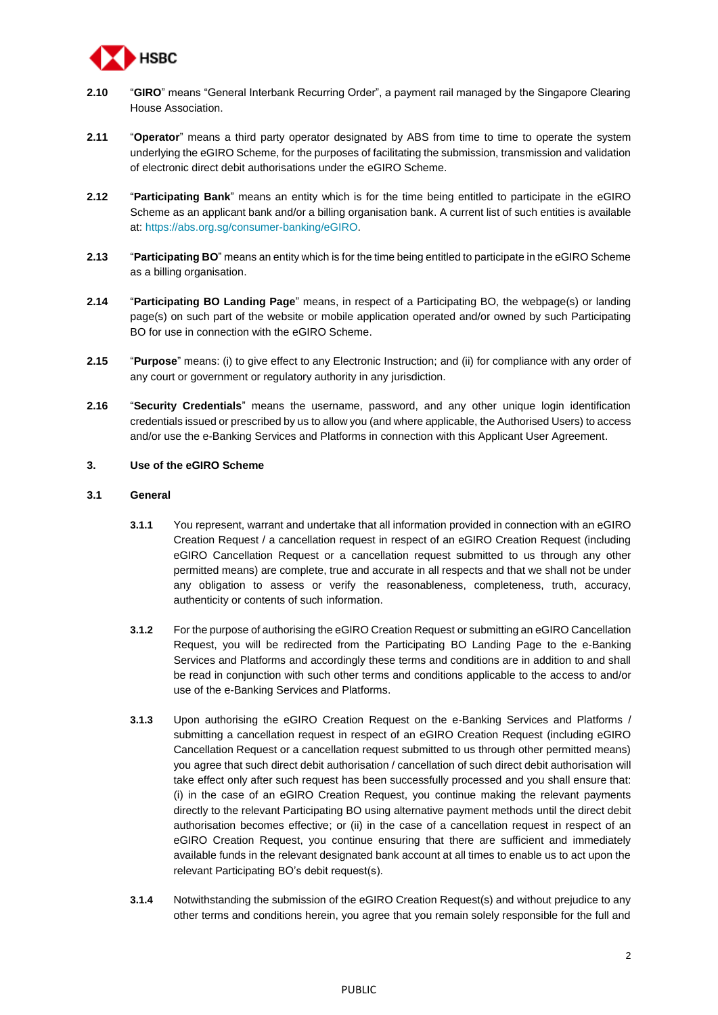

- **2.10** "**GIRO**" means "General Interbank Recurring Order", a payment rail managed by the Singapore Clearing House Association.
- **2.11** "**Operator**" means a third party operator designated by ABS from time to time to operate the system underlying the eGIRO Scheme, for the purposes of facilitating the submission, transmission and validation of electronic direct debit authorisations under the eGIRO Scheme.
- **2.12** "**Participating Bank**" means an entity which is for the time being entitled to participate in the eGIRO Scheme as an applicant bank and/or a billing organisation bank. A current list of such entities is available at: [https://abs.org.sg/consumer-banking/eGIRO.](https://urldefense.com/v3/__https:/abs.org.sg/consumer-banking/eGIRO__;!!LSAcJDlP!gJszPQM3zrxly-twrUOKlkmi0nVG6QZmUoiqmWumakrFqVYBabjDo6kPddc1Hw8o-ELK7g$)
- **2.13** "**Participating BO**" means an entity which is for the time being entitled to participate in the eGIRO Scheme as a billing organisation.
- **2.14** "**Participating BO Landing Page**" means, in respect of a Participating BO, the webpage(s) or landing page(s) on such part of the website or mobile application operated and/or owned by such Participating BO for use in connection with the eGIRO Scheme.
- **2.15** "**Purpose**" means: (i) to give effect to any Electronic Instruction; and (ii) for compliance with any order of any court or government or regulatory authority in any jurisdiction.
- **2.16** "**Security Credentials**" means the username, password, and any other unique login identification credentials issued or prescribed by us to allow you (and where applicable, the Authorised Users) to access and/or use the e-Banking Services and Platforms in connection with this Applicant User Agreement.

# **3. Use of the eGIRO Scheme**

### **3.1 General**

- **3.1.1** You represent, warrant and undertake that all information provided in connection with an eGIRO Creation Request / a cancellation request in respect of an eGIRO Creation Request (including eGIRO Cancellation Request or a cancellation request submitted to us through any other permitted means) are complete, true and accurate in all respects and that we shall not be under any obligation to assess or verify the reasonableness, completeness, truth, accuracy, authenticity or contents of such information.
- **3.1.2** For the purpose of authorising the eGIRO Creation Request or submitting an eGIRO Cancellation Request, you will be redirected from the Participating BO Landing Page to the e-Banking Services and Platforms and accordingly these terms and conditions are in addition to and shall be read in conjunction with such other terms and conditions applicable to the access to and/or use of the e-Banking Services and Platforms.
- <span id="page-1-0"></span>**3.1.3** Upon authorising the eGIRO Creation Request on the e-Banking Services and Platforms / submitting a cancellation request in respect of an eGIRO Creation Request (including eGIRO Cancellation Request or a cancellation request submitted to us through other permitted means) you agree that such direct debit authorisation / cancellation of such direct debit authorisation will take effect only after such request has been successfully processed and you shall ensure that: (i) in the case of an eGIRO Creation Request, you continue making the relevant payments directly to the relevant Participating BO using alternative payment methods until the direct debit authorisation becomes effective; or (ii) in the case of a cancellation request in respect of an eGIRO Creation Request, you continue ensuring that there are sufficient and immediately available funds in the relevant designated bank account at all times to enable us to act upon the relevant Participating BO's debit request(s).
- **3.1.4** Notwithstanding the submission of the eGIRO Creation Request(s) and without prejudice to any other terms and conditions herein, you agree that you remain solely responsible for the full and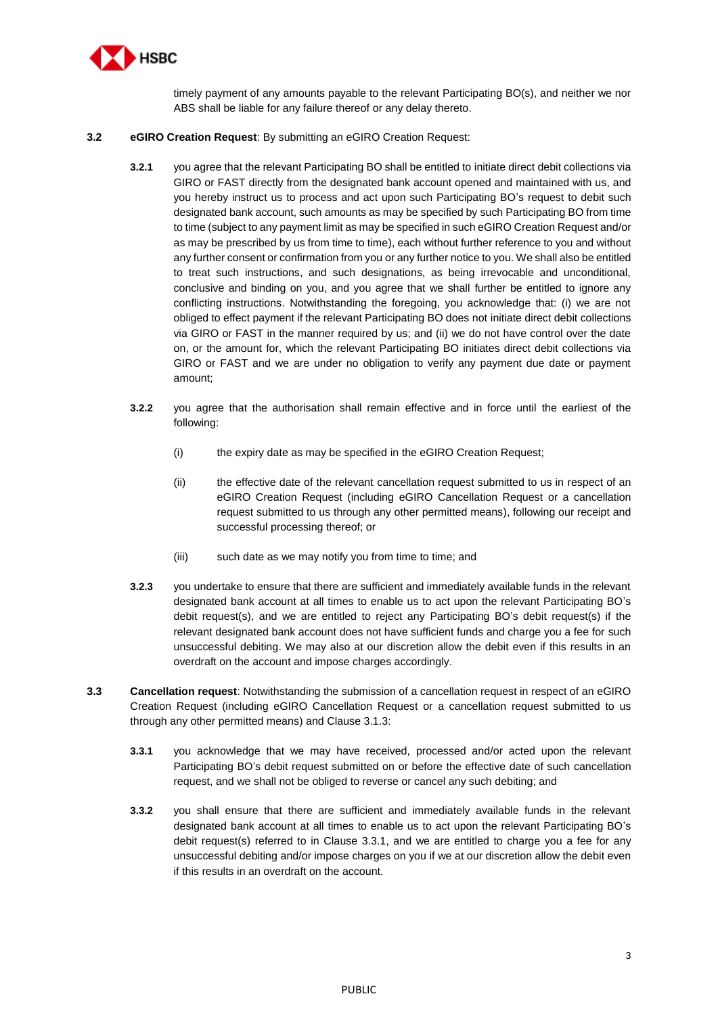

timely payment of any amounts payable to the relevant Participating BO(s), and neither we nor ABS shall be liable for any failure thereof or any delay thereto.

# <span id="page-2-1"></span>**3.2 eGIRO Creation Request**: By submitting an eGIRO Creation Request:

- **3.2.1** you agree that the relevant Participating BO shall be entitled to initiate direct debit collections via GIRO or FAST directly from the designated bank account opened and maintained with us, and you hereby instruct us to process and act upon such Participating BO's request to debit such designated bank account, such amounts as may be specified by such Participating BO from time to time (subject to any payment limit as may be specified in such eGIRO Creation Request and/or as may be prescribed by us from time to time), each without further reference to you and without any further consent or confirmation from you or any further notice to you. We shall also be entitled to treat such instructions, and such designations, as being irrevocable and unconditional, conclusive and binding on you, and you agree that we shall further be entitled to ignore any conflicting instructions. Notwithstanding the foregoing, you acknowledge that: (i) we are not obliged to effect payment if the relevant Participating BO does not initiate direct debit collections via GIRO or FAST in the manner required by us; and (ii) we do not have control over the date on, or the amount for, which the relevant Participating BO initiates direct debit collections via GIRO or FAST and we are under no obligation to verify any payment due date or payment amount;
- **3.2.2** you agree that the authorisation shall remain effective and in force until the earliest of the following:
	- (i) the expiry date as may be specified in the eGIRO Creation Request;
	- (ii) the effective date of the relevant cancellation request submitted to us in respect of an eGIRO Creation Request (including eGIRO Cancellation Request or a cancellation request submitted to us through any other permitted means), following our receipt and successful processing thereof; or
	- (iii) such date as we may notify you from time to time; and
- **3.2.3** you undertake to ensure that there are sufficient and immediately available funds in the relevant designated bank account at all times to enable us to act upon the relevant Participating BO's debit request(s), and we are entitled to reject any Participating BO's debit request(s) if the relevant designated bank account does not have sufficient funds and charge you a fee for such unsuccessful debiting. We may also at our discretion allow the debit even if this results in an overdraft on the account and impose charges accordingly.
- <span id="page-2-0"></span>**3.3 Cancellation request**: Notwithstanding the submission of a cancellation request in respect of an eGIRO Creation Request (including eGIRO Cancellation Request or a cancellation request submitted to us through any other permitted means) and Clause [3.1.3:](#page-1-0)
	- **3.3.1** you acknowledge that we may have received, processed and/or acted upon the relevant Participating BO's debit request submitted on or before the effective date of such cancellation request, and we shall not be obliged to reverse or cancel any such debiting; and
	- **3.3.2** you shall ensure that there are sufficient and immediately available funds in the relevant designated bank account at all times to enable us to act upon the relevant Participating BO's debit request(s) referred to in Clause [3.3.1,](#page-2-0) and we are entitled to charge you a fee for any unsuccessful debiting and/or impose charges on you if we at our discretion allow the debit even if this results in an overdraft on the account.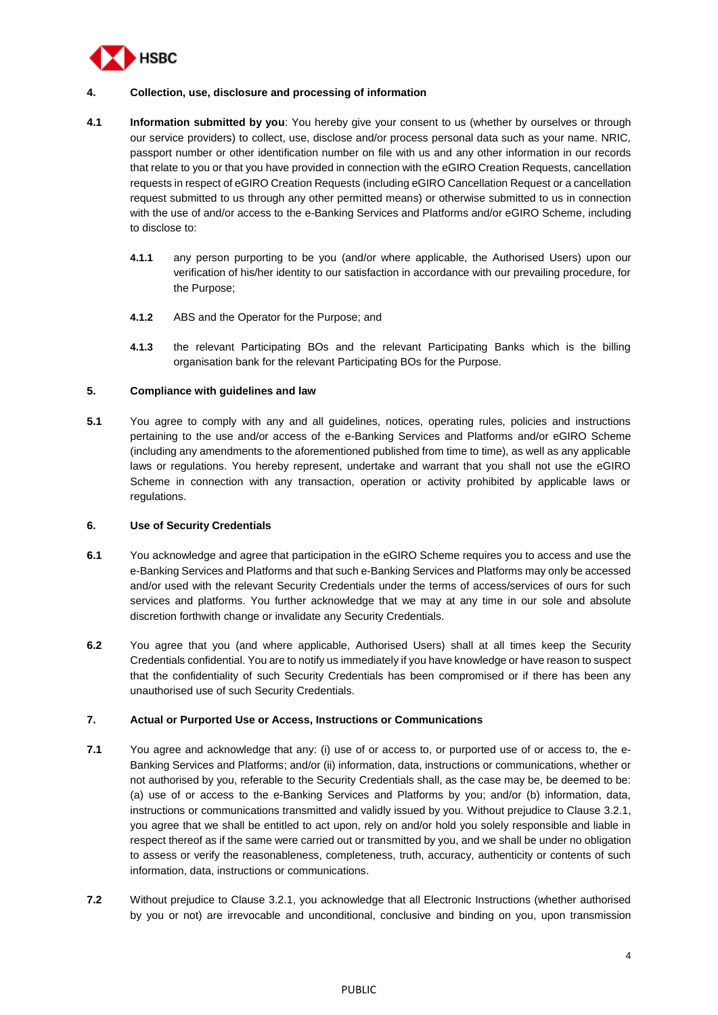

# **4. Collection, use, disclosure and processing of information**

- **4.1 Information submitted by you**: You hereby give your consent to us (whether by ourselves or through our service providers) to collect, use, disclose and/or process personal data such as your name. NRIC, passport number or other identification number on file with us and any other information in our records that relate to you or that you have provided in connection with the eGIRO Creation Requests, cancellation requests in respect of eGIRO Creation Requests (including eGIRO Cancellation Request or a cancellation request submitted to us through any other permitted means) or otherwise submitted to us in connection with the use of and/or access to the e-Banking Services and Platforms and/or eGIRO Scheme, including to disclose to:
	- **4.1.1** any person purporting to be you (and/or where applicable, the Authorised Users) upon our verification of his/her identity to our satisfaction in accordance with our prevailing procedure, for the Purpose;
	- **4.1.2** ABS and the Operator for the Purpose; and
	- **4.1.3** the relevant Participating BOs and the relevant Participating Banks which is the billing organisation bank for the relevant Participating BOs for the Purpose.

# **5. Compliance with guidelines and law**

**5.1** You agree to comply with any and all guidelines, notices, operating rules, policies and instructions pertaining to the use and/or access of the e-Banking Services and Platforms and/or eGIRO Scheme (including any amendments to the aforementioned published from time to time), as well as any applicable laws or regulations. You hereby represent, undertake and warrant that you shall not use the eGIRO Scheme in connection with any transaction, operation or activity prohibited by applicable laws or regulations.

#### **6. Use of Security Credentials**

- **6.1** You acknowledge and agree that participation in the eGIRO Scheme requires you to access and use the e-Banking Services and Platforms and that such e-Banking Services and Platforms may only be accessed and/or used with the relevant Security Credentials under the terms of access/services of ours for such services and platforms. You further acknowledge that we may at any time in our sole and absolute discretion forthwith change or invalidate any Security Credentials.
- **6.2** You agree that you (and where applicable, Authorised Users) shall at all times keep the Security Credentials confidential. You are to notify us immediately if you have knowledge or have reason to suspect that the confidentiality of such Security Credentials has been compromised or if there has been any unauthorised use of such Security Credentials.

# **7. Actual or Purported Use or Access, Instructions or Communications**

- **7.1** You agree and acknowledge that any: (i) use of or access to, or purported use of or access to, the e-Banking Services and Platforms; and/or (ii) information, data, instructions or communications, whether or not authorised by you, referable to the Security Credentials shall, as the case may be, be deemed to be: (a) use of or access to the e-Banking Services and Platforms by you; and/or (b) information, data, instructions or communications transmitted and validly issued by you. Without prejudice to Clause [3.2.1,](#page-2-1) you agree that we shall be entitled to act upon, rely on and/or hold you solely responsible and liable in respect thereof as if the same were carried out or transmitted by you, and we shall be under no obligation to assess or verify the reasonableness, completeness, truth, accuracy, authenticity or contents of such information, data, instructions or communications.
- **7.2** Without prejudice to Clause [3.2.1,](#page-2-1) you acknowledge that all Electronic Instructions (whether authorised by you or not) are irrevocable and unconditional, conclusive and binding on you, upon transmission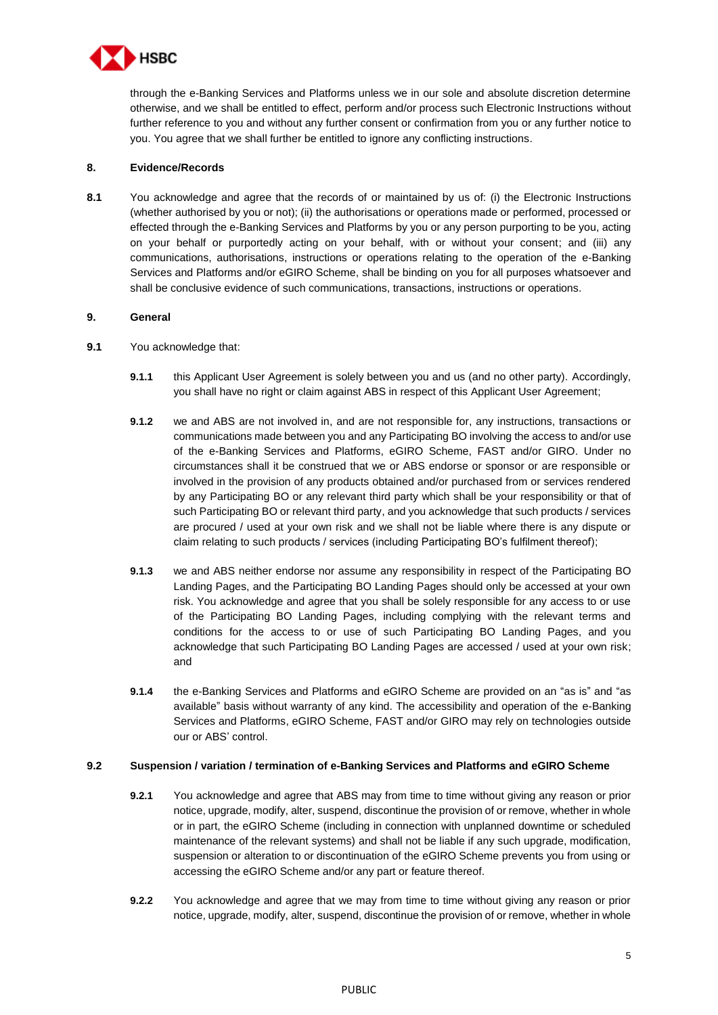

through the e-Banking Services and Platforms unless we in our sole and absolute discretion determine otherwise, and we shall be entitled to effect, perform and/or process such Electronic Instructions without further reference to you and without any further consent or confirmation from you or any further notice to you. You agree that we shall further be entitled to ignore any conflicting instructions.

# **8. Evidence/Records**

**8.1** You acknowledge and agree that the records of or maintained by us of: (i) the Electronic Instructions (whether authorised by you or not); (ii) the authorisations or operations made or performed, processed or effected through the e-Banking Services and Platforms by you or any person purporting to be you, acting on your behalf or purportedly acting on your behalf, with or without your consent; and (iii) any communications, authorisations, instructions or operations relating to the operation of the e-Banking Services and Platforms and/or eGIRO Scheme, shall be binding on you for all purposes whatsoever and shall be conclusive evidence of such communications, transactions, instructions or operations.

# **9. General**

- **9.1** You acknowledge that:
	- **9.1.1** this Applicant User Agreement is solely between you and us (and no other party). Accordingly, you shall have no right or claim against ABS in respect of this Applicant User Agreement;
	- **9.1.2** we and ABS are not involved in, and are not responsible for, any instructions, transactions or communications made between you and any Participating BO involving the access to and/or use of the e-Banking Services and Platforms, eGIRO Scheme, FAST and/or GIRO. Under no circumstances shall it be construed that we or ABS endorse or sponsor or are responsible or involved in the provision of any products obtained and/or purchased from or services rendered by any Participating BO or any relevant third party which shall be your responsibility or that of such Participating BO or relevant third party, and you acknowledge that such products / services are procured / used at your own risk and we shall not be liable where there is any dispute or claim relating to such products / services (including Participating BO's fulfilment thereof);
	- **9.1.3** we and ABS neither endorse nor assume any responsibility in respect of the Participating BO Landing Pages, and the Participating BO Landing Pages should only be accessed at your own risk. You acknowledge and agree that you shall be solely responsible for any access to or use of the Participating BO Landing Pages, including complying with the relevant terms and conditions for the access to or use of such Participating BO Landing Pages, and you acknowledge that such Participating BO Landing Pages are accessed / used at your own risk; and
	- **9.1.4** the e-Banking Services and Platforms and eGIRO Scheme are provided on an "as is" and "as available" basis without warranty of any kind. The accessibility and operation of the e-Banking Services and Platforms, eGIRO Scheme, FAST and/or GIRO may rely on technologies outside our or ABS' control.

#### **9.2 Suspension / variation / termination of e-Banking Services and Platforms and eGIRO Scheme**

- **9.2.1** You acknowledge and agree that ABS may from time to time without giving any reason or prior notice, upgrade, modify, alter, suspend, discontinue the provision of or remove, whether in whole or in part, the eGIRO Scheme (including in connection with unplanned downtime or scheduled maintenance of the relevant systems) and shall not be liable if any such upgrade, modification, suspension or alteration to or discontinuation of the eGIRO Scheme prevents you from using or accessing the eGIRO Scheme and/or any part or feature thereof.
- **9.2.2** You acknowledge and agree that we may from time to time without giving any reason or prior notice, upgrade, modify, alter, suspend, discontinue the provision of or remove, whether in whole